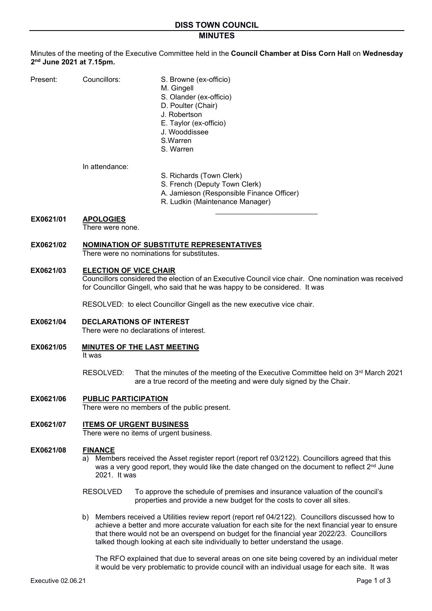# **MINUTES**

Minutes of the meeting of the Executive Committee held in the **Council Chamber at Diss Corn Hall** on **Wednesday 2nd June 2021 at 7.15pm.** 

| Present: | Councillors: | S. Browne (ex-officio)<br>M. Gingell<br>S. Olander (ex-officio)<br>D. Poulter (Chair)<br>J. Robertson<br>E. Taylor (ex-officio)<br>J. Wooddissee<br>S. Warren |
|----------|--------------|---------------------------------------------------------------------------------------------------------------------------------------------------------------|
|          |              | S. Warren                                                                                                                                                     |

#### In attendance:

- S. Richards (Town Clerk)
	- S. French (Deputy Town Clerk)
	- A. Jamieson (Responsible Finance Officer)
	- R. Ludkin (Maintenance Manager)
- **EX0621/01 APOLOGIES**

There were none.

## **EX0621/02 NOMINATION OF SUBSTITUTE REPRESENTATIVES**

There were no nominations for substitutes.

### **EX0621/03 ELECTION OF VICE CHAIR**

Councillors considered the election of an Executive Council vice chair. One nomination was received for Councillor Gingell, who said that he was happy to be considered. It was

RESOLVED: to elect Councillor Gingell as the new executive vice chair.

# **EX0621/04 DECLARATIONS OF INTEREST**

There were no declarations of interest.

# **EX0621/05 MINUTES OF THE LAST MEETING**

It was

RESOLVED: That the minutes of the meeting of the Executive Committee held on 3<sup>rd</sup> March 2021 are a true record of the meeting and were duly signed by the Chair.

### **EX0621/06 PUBLIC PARTICIPATION**

There were no members of the public present.

# **EX0621/07 ITEMS OF URGENT BUSINESS**

There were no items of urgent business.

### **EX0621/08 FINANCE**

- a) Members received the Asset register report (report ref 03/2122). Councillors agreed that this was a very good report, they would like the date changed on the document to reflect  $2<sup>nd</sup>$  June 2021. It was
- RESOLVED To approve the schedule of premises and insurance valuation of the council's properties and provide a new budget for the costs to cover all sites.
- b) Members received a Utilities review report (report ref 04/2122). Councillors discussed how to achieve a better and more accurate valuation for each site for the next financial year to ensure that there would not be an overspend on budget for the financial year 2022/23. Councillors talked though looking at each site individually to better understand the usage.

The RFO explained that due to several areas on one site being covered by an individual meter it would be very problematic to provide council with an individual usage for each site. It was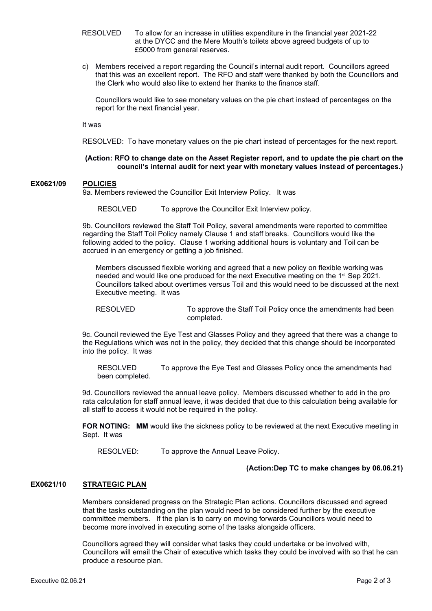- RESOLVED To allow for an increase in utilities expenditure in the financial year 2021-22 at the DYCC and the Mere Mouth's toilets above agreed budgets of up to £5000 from general reserves.
- c) Members received a report regarding the Council's internal audit report. Councillors agreed that this was an excellent report. The RFO and staff were thanked by both the Councillors and the Clerk who would also like to extend her thanks to the finance staff.

Councillors would like to see monetary values on the pie chart instead of percentages on the report for the next financial year.

It was

RESOLVED: To have monetary values on the pie chart instead of percentages for the next report.

#### **(Action: RFO to change date on the Asset Register report, and to update the pie chart on the council's internal audit for next year with monetary values instead of percentages.)**

### **EX0621/09 POLICIES**

9a. Members reviewed the Councillor Exit Interview Policy. It was

RESOLVED To approve the Councillor Exit Interview policy.

9b. Councillors reviewed the Staff Toil Policy, several amendments were reported to committee regarding the Staff Toil Policy namely Clause 1 and staff breaks. Councillors would like the following added to the policy. Clause 1 working additional hours is voluntary and Toil can be accrued in an emergency or getting a job finished.

Members discussed flexible working and agreed that a new policy on flexible working was needed and would like one produced for the next Executive meeting on the 1st Sep 2021. Councillors talked about overtimes versus Toil and this would need to be discussed at the next Executive meeting. It was

RESOLVED To approve the Staff Toil Policy once the amendments had been completed.

9c. Council reviewed the Eye Test and Glasses Policy and they agreed that there was a change to the Regulations which was not in the policy, they decided that this change should be incorporated into the policy. It was

RESOLVED To approve the Eye Test and Glasses Policy once the amendments had been completed.

9d. Councillors reviewed the annual leave policy. Members discussed whether to add in the pro rata calculation for staff annual leave, it was decided that due to this calculation being available for all staff to access it would not be required in the policy.

**FOR NOTING:** MM would like the sickness policy to be reviewed at the next Executive meeting in Sept. It was

RESOLVED: To approve the Annual Leave Policy.

### **(Action:Dep TC to make changes by 06.06.21)**

### **EX0621/10 STRATEGIC PLAN**

Members considered progress on the Strategic Plan actions. Councillors discussed and agreed that the tasks outstanding on the plan would need to be considered further by the executive committee members. If the plan is to carry on moving forwards Councillors would need to become more involved in executing some of the tasks alongside officers.

Councillors agreed they will consider what tasks they could undertake or be involved with, Councillors will email the Chair of executive which tasks they could be involved with so that he can produce a resource plan.